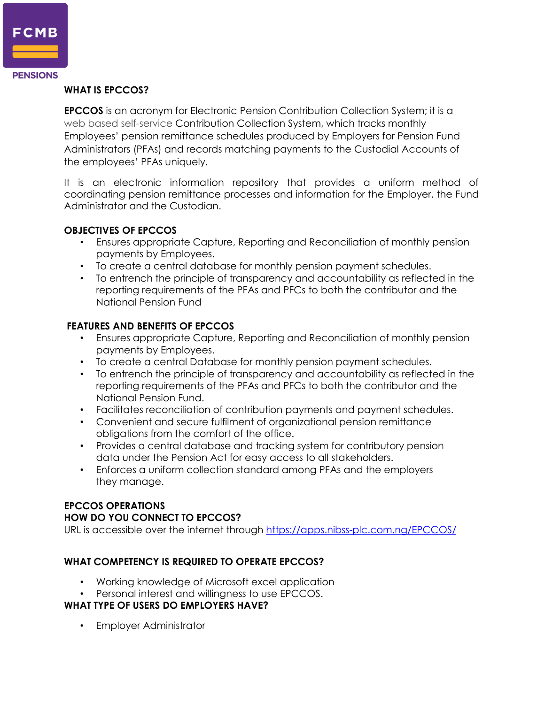

#### **WHAT IS EPCCOS?**

**EPCCOS** is an acronym for Electronic Pension Contribution Collection System; it is a web based self-service Contribution Collection System, which tracks monthly Employees' pension remittance schedules produced by Employers for Pension Fund Administrators (PFAs) and records matching payments to the Custodial Accounts of the employees' PFAs uniquely.

It is an electronic information repository that provides a uniform method of coordinating pension remittance processes and information for the Employer, the Fund Administrator and the Custodian.

#### **OBJECTIVES OF EPCCOS**

- Ensures appropriate Capture, Reporting and Reconciliation of monthly pension payments by Employees.
- To create a central database for monthly pension payment schedules.
- To entrench the principle of transparency and accountability as reflected in the reporting requirements of the PFAs and PFCs to both the contributor and the National Pension Fund

#### **FEATURES AND BENEFITS OF EPCCOS**

- Ensures appropriate Capture, Reporting and Reconciliation of monthly pension payments by Employees.
- To create a central Database for monthly pension payment schedules.
- To entrench the principle of transparency and accountability as reflected in the reporting requirements of the PFAs and PFCs to both the contributor and the National Pension Fund.
- Facilitates reconciliation of contribution payments and payment schedules.
- Convenient and secure fulfilment of organizational pension remittance obligations from the comfort of the office.
- Provides a central database and tracking system for contributory pension data under the Pension Act for easy access to all stakeholders.
- Enforces a uniform collection standard among PFAs and the employers they manage.

#### **EPCCOS OPERATIONS**

#### **HOW DO YOU CONNECT TO EPCCOS?**

URL is accessible over the internet through<https://apps.nibss-plc.com.ng/EPCCOS/>

# **WHAT COMPETENCY IS REQUIRED TO OPERATE EPCCOS?**

- Working knowledge of Microsoft excel application
- Personal interest and willingness to use EPCCOS.

#### **WHAT TYPE OF USERS DO EMPLOYERS HAVE?**

• Employer Administrator